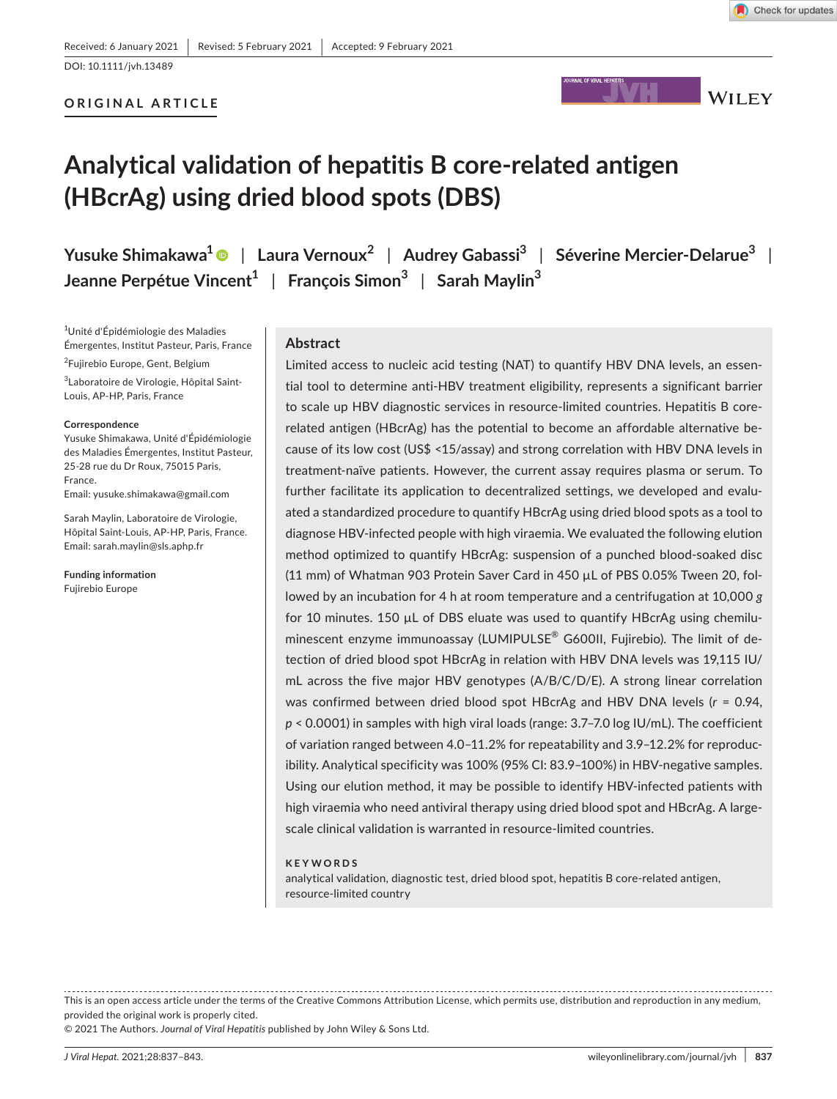Check for updates

## **ORIGINAL ARTICLE**



# **Analytical validation of hepatitis B core-related antigen (HBcrAg) using dried blood spots (DBS)**

**Yusuke Shimakawa1** | **Laura Vernoux<sup>2</sup>** | **Audrey Gabassi<sup>3</sup>** | **Séverine Mercier-Delarue<sup>3</sup>** | **Jeanne Perpétue Vincent1** | **François Simon<sup>3</sup>** | **Sarah Maylin<sup>3</sup>**

1 Unité d'Épidémiologie des Maladies Émergentes, Institut Pasteur, Paris, France 2 Fujirebio Europe, Gent, Belgium <sup>3</sup>Laboratoire de Virologie, Hôpital Saint-Louis, AP-HP, Paris, France

#### **Correspondence**

Yusuke Shimakawa, Unité d'Épidémiologie des Maladies Émergentes, Institut Pasteur, 25-28 rue du Dr Roux, 75015 Paris, France. Email: [yusuke.shimakawa@gmail.com](mailto:yusuke.shimakawa@gmail.com)

Sarah Maylin, Laboratoire de Virologie, Hôpital Saint-Louis, AP-HP, Paris, France. Email: [sarah.maylin@sls.aphp.fr](mailto:sarah.maylin@sls.aphp.fr)

**Funding information** Fujirebio Europe

## **Abstract**

Limited access to nucleic acid testing (NAT) to quantify HBV DNA levels, an essential tool to determine anti-HBV treatment eligibility, represents a significant barrier to scale up HBV diagnostic services in resource-limited countries. Hepatitis B corerelated antigen (HBcrAg) has the potential to become an affordable alternative because of its low cost (US\$ <15/assay) and strong correlation with HBV DNA levels in treatment-naïve patients. However, the current assay requires plasma or serum. To further facilitate its application to decentralized settings, we developed and evaluated a standardized procedure to quantify HBcrAg using dried blood spots as a tool to diagnose HBV-infected people with high viraemia. We evaluated the following elution method optimized to quantify HBcrAg: suspension of a punched blood-soaked disc (11 mm) of Whatman 903 Protein Saver Card in 450 µL of PBS 0.05% Tween 20, followed by an incubation for 4 h at room temperature and a centrifugation at 10,000 *g* for 10 minutes. 150 µL of DBS eluate was used to quantify HBcrAg using chemiluminescent enzyme immunoassay (LUMIPULSE® G600II, Fujirebio). The limit of detection of dried blood spot HBcrAg in relation with HBV DNA levels was 19,115 IU/ mL across the five major HBV genotypes (A/B/C/D/E). A strong linear correlation was confirmed between dried blood spot HBcrAg and HBV DNA levels (*r* = 0.94, *p* < 0.0001) in samples with high viral loads (range: 3.7–7.0 log IU/mL). The coefficient of variation ranged between 4.0–11.2% for repeatability and 3.9–12.2% for reproducibility. Analytical specificity was 100% (95% CI: 83.9–100%) in HBV-negative samples. Using our elution method, it may be possible to identify HBV-infected patients with high viraemia who need antiviral therapy using dried blood spot and HBcrAg. A largescale clinical validation is warranted in resource-limited countries.

#### **KEYWORDS**

analytical validation, diagnostic test, dried blood spot, hepatitis B core-related antigen, resource-limited country

This is an open access article under the terms of the [Creative Commons Attribution](http://creativecommons.org/licenses/by/4.0/) License, which permits use, distribution and reproduction in any medium, provided the original work is properly cited.

© 2021 The Authors. *Journal of Viral Hepatitis* published by John Wiley & Sons Ltd.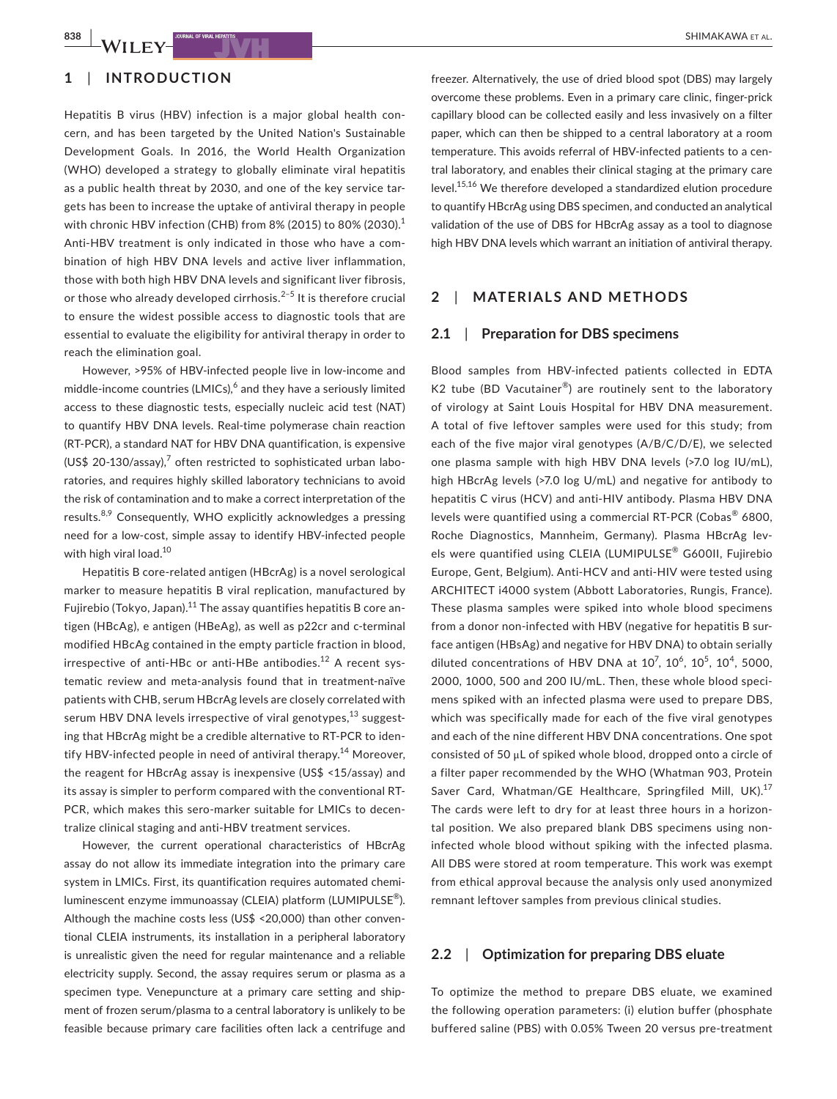# **1**  | **INTRODUCTION**

Hepatitis B virus (HBV) infection is a major global health concern, and has been targeted by the United Nation's Sustainable Development Goals. In 2016, the World Health Organization (WHO) developed a strategy to globally eliminate viral hepatitis as a public health threat by 2030, and one of the key service targets has been to increase the uptake of antiviral therapy in people with chronic HBV infection (CHB) from 8% (2015) to 80% (2030). $^1$ Anti-HBV treatment is only indicated in those who have a combination of high HBV DNA levels and active liver inflammation, those with both high HBV DNA levels and significant liver fibrosis, or those who already developed cirrhosis.<sup>2–5</sup> It is therefore crucial to ensure the widest possible access to diagnostic tools that are essential to evaluate the eligibility for antiviral therapy in order to reach the elimination goal.

However, >95% of HBV-infected people live in low-income and middle-income countries (LMICs), $^6$  and they have a seriously limited access to these diagnostic tests, especially nucleic acid test (NAT) to quantify HBV DNA levels. Real-time polymerase chain reaction (RT-PCR), a standard NAT for HBV DNA quantification, is expensive (US\$ 20-130/assay), $^7$  often restricted to sophisticated urban laboratories, and requires highly skilled laboratory technicians to avoid the risk of contamination and to make a correct interpretation of the results.<sup>8,9</sup> Consequently, WHO explicitly acknowledges a pressing need for a low-cost, simple assay to identify HBV-infected people with high viral load.<sup>10</sup>

Hepatitis B core-related antigen (HBcrAg) is a novel serological marker to measure hepatitis B viral replication, manufactured by Fujirebio (Tokyo, Japan).<sup>11</sup> The assay quantifies hepatitis B core antigen (HBcAg), e antigen (HBeAg), as well as p22cr and c-terminal modified HBcAg contained in the empty particle fraction in blood, irrespective of anti-HBc or anti-HBe antibodies.<sup>12</sup> A recent systematic review and meta-analysis found that in treatment-naïve patients with CHB, serum HBcrAg levels are closely correlated with serum HBV DNA levels irrespective of viral genotypes, $^{13}$  suggesting that HBcrAg might be a credible alternative to RT-PCR to identify HBV-infected people in need of antiviral therapy.<sup>14</sup> Moreover, the reagent for HBcrAg assay is inexpensive (US\$ <15/assay) and its assay is simpler to perform compared with the conventional RT-PCR, which makes this sero-marker suitable for LMICs to decentralize clinical staging and anti-HBV treatment services.

However, the current operational characteristics of HBcrAg assay do not allow its immediate integration into the primary care system in LMICs. First, its quantification requires automated chemiluminescent enzyme immunoassay (CLEIA) platform (LUMIPULSE<sup>®</sup>). Although the machine costs less (US\$ <20,000) than other conventional CLEIA instruments, its installation in a peripheral laboratory is unrealistic given the need for regular maintenance and a reliable electricity supply. Second, the assay requires serum or plasma as a specimen type. Venepuncture at a primary care setting and shipment of frozen serum/plasma to a central laboratory is unlikely to be feasible because primary care facilities often lack a centrifuge and

freezer. Alternatively, the use of dried blood spot (DBS) may largely overcome these problems. Even in a primary care clinic, finger-prick capillary blood can be collected easily and less invasively on a filter paper, which can then be shipped to a central laboratory at a room temperature. This avoids referral of HBV-infected patients to a central laboratory, and enables their clinical staging at the primary care level.<sup>15,16</sup> We therefore developed a standardized elution procedure to quantify HBcrAg using DBS specimen, and conducted an analytical validation of the use of DBS for HBcrAg assay as a tool to diagnose high HBV DNA levels which warrant an initiation of antiviral therapy.

## **2**  | **MATERIALS AND METHODS**

## **2.1**  | **Preparation for DBS specimens**

Blood samples from HBV-infected patients collected in EDTA K2 tube (BD Vacutainer<sup>®</sup>) are routinely sent to the laboratory of virology at Saint Louis Hospital for HBV DNA measurement. A total of five leftover samples were used for this study; from each of the five major viral genotypes (A/B/C/D/E), we selected one plasma sample with high HBV DNA levels (>7.0 log IU/mL), high HBcrAg levels (>7.0 log U/mL) and negative for antibody to hepatitis C virus (HCV) and anti-HIV antibody. Plasma HBV DNA levels were quantified using a commercial RT-PCR (Cobas® 6800, Roche Diagnostics, Mannheim, Germany). Plasma HBcrAg levels were quantified using CLEIA (LUMIPULSE® G600II, Fujirebio Europe, Gent, Belgium). Anti-HCV and anti-HIV were tested using ARCHITECT i4000 system (Abbott Laboratories, Rungis, France). These plasma samples were spiked into whole blood specimens from a donor non-infected with HBV (negative for hepatitis B surface antigen (HBsAg) and negative for HBV DNA) to obtain serially diluted concentrations of HBV DNA at  $10^7$ ,  $10^6$ ,  $10^5$ ,  $10^4$ , 5000, 2000, 1000, 500 and 200 IU/mL. Then, these whole blood specimens spiked with an infected plasma were used to prepare DBS, which was specifically made for each of the five viral genotypes and each of the nine different HBV DNA concentrations. One spot consisted of 50 μL of spiked whole blood, dropped onto a circle of a filter paper recommended by the WHO (Whatman 903, Protein Saver Card, Whatman/GE Healthcare, Springfiled Mill, UK).<sup>17</sup> The cards were left to dry for at least three hours in a horizontal position. We also prepared blank DBS specimens using noninfected whole blood without spiking with the infected plasma. All DBS were stored at room temperature. This work was exempt from ethical approval because the analysis only used anonymized remnant leftover samples from previous clinical studies.

## **2.2**  | **Optimization for preparing DBS eluate**

To optimize the method to prepare DBS eluate, we examined the following operation parameters: (i) elution buffer (phosphate buffered saline (PBS) with 0.05% Tween 20 versus pre-treatment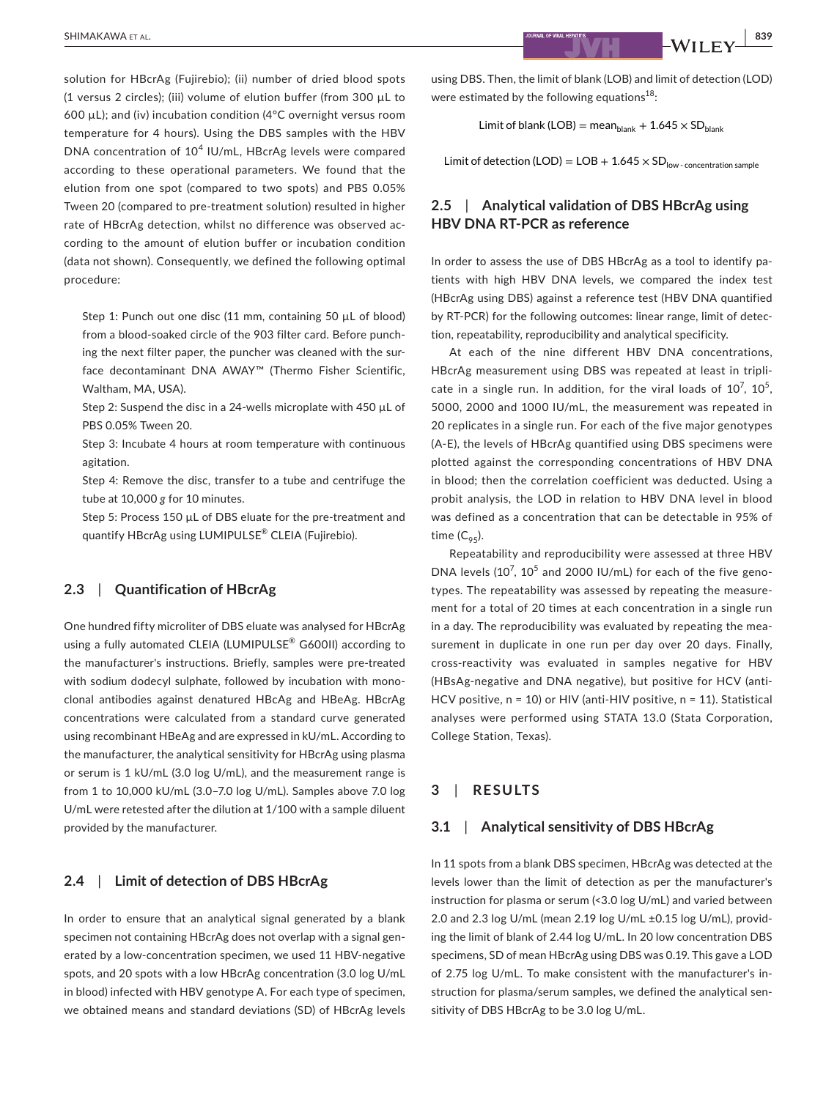solution for HBcrAg (Fujirebio); (ii) number of dried blood spots (1 versus 2 circles); (iii) volume of elution buffer (from 300 µL to 600 µL); and (iv) incubation condition (4°C overnight versus room temperature for 4 hours). Using the DBS samples with the HBV DNA concentration of  $10^4$  IU/mL, HBcrAg levels were compared according to these operational parameters. We found that the elution from one spot (compared to two spots) and PBS 0.05% Tween 20 (compared to pre-treatment solution) resulted in higher rate of HBcrAg detection, whilst no difference was observed according to the amount of elution buffer or incubation condition (data not shown). Consequently, we defined the following optimal procedure:

Step 1: Punch out one disc (11 mm, containing 50 µL of blood) from a blood-soaked circle of the 903 filter card. Before punching the next filter paper, the puncher was cleaned with the surface decontaminant DNA AWAY™ (Thermo Fisher Scientific, Waltham, MA, USA).

Step 2: Suspend the disc in a 24-wells microplate with 450 µL of PBS 0.05% Tween 20.

Step 3: Incubate 4 hours at room temperature with continuous agitation.

Step 4: Remove the disc, transfer to a tube and centrifuge the tube at 10,000 *g* for 10 minutes.

Step 5: Process 150 µL of DBS eluate for the pre-treatment and quantify HBcrAg using LUMIPULSE® CLEIA (Fujirebio).

#### **2.3**  | **Quantification of HBcrAg**

One hundred fifty microliter of DBS eluate was analysed for HBcrAg using a fully automated CLEIA (LUMIPULSE® G600II) according to the manufacturer's instructions. Briefly, samples were pre-treated with sodium dodecyl sulphate, followed by incubation with monoclonal antibodies against denatured HBcAg and HBeAg. HBcrAg concentrations were calculated from a standard curve generated using recombinant HBeAg and are expressed in kU/mL. According to the manufacturer, the analytical sensitivity for HBcrAg using plasma or serum is 1 kU/mL (3.0 log U/mL), and the measurement range is from 1 to 10,000 kU/mL (3.0–7.0 log U/mL). Samples above 7.0 log U/mL were retested after the dilution at 1/100 with a sample diluent provided by the manufacturer.

## **2.4**  | **Limit of detection of DBS HBcrAg**

In order to ensure that an analytical signal generated by a blank specimen not containing HBcrAg does not overlap with a signal generated by a low-concentration specimen, we used 11 HBV-negative spots, and 20 spots with a low HBcrAg concentration (3.0 log U/mL in blood) infected with HBV genotype A. For each type of specimen, we obtained means and standard deviations (SD) of HBcrAg levels using DBS. Then, the limit of blank (LOB) and limit of detection (LOD) were estimated by the following equations $18$ :

Limit of blank (LOB) = mean $_{\text{blank}}$  + 1.645  $\times$  SD<sub>blank</sub>

Limit of detection (LOD) =  $LOB + 1.645 \times SD<sub>low-concentration sample</sub>$ 

# **2.5**  | **Analytical validation of DBS HBcrAg using HBV DNA RT-PCR as reference**

In order to assess the use of DBS HBcrAg as a tool to identify patients with high HBV DNA levels, we compared the index test (HBcrAg using DBS) against a reference test (HBV DNA quantified by RT-PCR) for the following outcomes: linear range, limit of detection, repeatability, reproducibility and analytical specificity.

At each of the nine different HBV DNA concentrations, HBcrAg measurement using DBS was repeated at least in triplicate in a single run. In addition, for the viral loads of  $10^7$ ,  $10^5$ , 5000, 2000 and 1000 IU/mL, the measurement was repeated in 20 replicates in a single run. For each of the five major genotypes (A-E), the levels of HBcrAg quantified using DBS specimens were plotted against the corresponding concentrations of HBV DNA in blood; then the correlation coefficient was deducted. Using a probit analysis, the LOD in relation to HBV DNA level in blood was defined as a concentration that can be detectable in 95% of time  $(C_{95})$ .

Repeatability and reproducibility were assessed at three HBV DNA levels ( $10^7$ ,  $10^5$  and 2000 IU/mL) for each of the five genotypes. The repeatability was assessed by repeating the measurement for a total of 20 times at each concentration in a single run in a day. The reproducibility was evaluated by repeating the measurement in duplicate in one run per day over 20 days. Finally, cross-reactivity was evaluated in samples negative for HBV (HBsAg-negative and DNA negative), but positive for HCV (anti-HCV positive, n = 10) or HIV (anti-HIV positive, n = 11). Statistical analyses were performed using STATA 13.0 (Stata Corporation, College Station, Texas).

## **3**  | **RESULTS**

## **3.1**  | **Analytical sensitivity of DBS HBcrAg**

In 11 spots from a blank DBS specimen, HBcrAg was detected at the levels lower than the limit of detection as per the manufacturer's instruction for plasma or serum (<3.0 log U/mL) and varied between 2.0 and 2.3 log U/mL (mean 2.19 log U/mL ±0.15 log U/mL), providing the limit of blank of 2.44 log U/mL. In 20 low concentration DBS specimens, SD of mean HBcrAg using DBS was 0.19. This gave a LOD of 2.75 log U/mL. To make consistent with the manufacturer's instruction for plasma/serum samples, we defined the analytical sensitivity of DBS HBcrAg to be 3.0 log U/mL.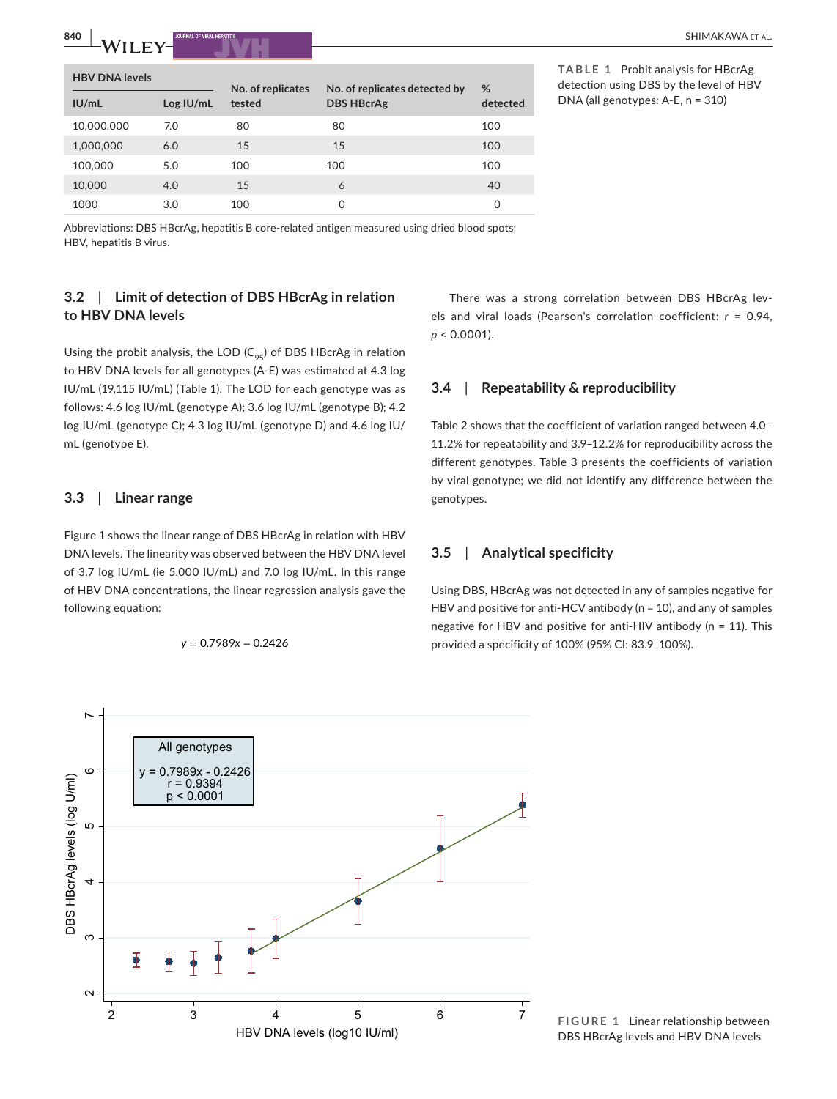| <b>HBV DNA levels</b> |           |                             |                                                    | %        |
|-----------------------|-----------|-----------------------------|----------------------------------------------------|----------|
| IU/mL                 | Log IU/mL | No. of replicates<br>tested | No. of replicates detected by<br><b>DBS HBcrAg</b> | detected |
| 10,000,000            | 7.0       | 80                          | 80                                                 | 100      |
| 1,000,000             | 6.0       | 15                          | 15                                                 | 100      |
| 100,000               | 5.0       | 100                         | 100                                                | 100      |
| 10,000                | 4.0       | 15                          | 6                                                  | 40       |
| 1000                  | 3.0       | 100                         | $\Omega$                                           | 0        |

**TABLE 1** Probit analysis for HBcrAg detection using DBS by the level of HBV DNA (all genotypes: A-E, n = 310)

Abbreviations: DBS HBcrAg, hepatitis B core-related antigen measured using dried blood spots; HBV, hepatitis B virus.

# **3.2**  | **Limit of detection of DBS HBcrAg in relation to HBV DNA levels**

Using the probit analysis, the LOD  $(C_{95})$  of DBS HBcrAg in relation to HBV DNA levels for all genotypes (A-E) was estimated at 4.3 log IU/mL (19,115 IU/mL) (Table 1). The LOD for each genotype was as follows: 4.6 log IU/mL (genotype A); 3.6 log IU/mL (genotype B); 4.2 log IU/mL (genotype C); 4.3 log IU/mL (genotype D) and 4.6 log IU/ mL (genotype E).

## **3.3**  | **Linear range**

Figure 1 shows the linear range of DBS HBcrAg in relation with HBV DNA levels. The linearity was observed between the HBV DNA level of 3.7 log IU/mL (ie 5,000 IU/mL) and 7.0 log IU/mL. In this range of HBV DNA concentrations, the linear regression analysis gave the following equation:

$$
y = 0.7989x - 0.2426
$$

There was a strong correlation between DBS HBcrAg levels and viral loads (Pearson's correlation coefficient: *r* = 0.94, *p* < 0.0001).

## **3.4**  | **Repeatability & reproducibility**

Table 2 shows that the coefficient of variation ranged between 4.0– 11.2% for repeatability and 3.9–12.2% for reproducibility across the different genotypes. Table 3 presents the coefficients of variation by viral genotype; we did not identify any difference between the genotypes.

## **3.5**  | **Analytical specificity**

Using DBS, HBcrAg was not detected in any of samples negative for HBV and positive for anti-HCV antibody (n = 10), and any of samples negative for HBV and positive for anti-HIV antibody (n = 11). This *b* **b** = 0.2428 provided a specificity of 100% (95% CI: 83.9–100%).



**FIGURE 1** Linear relationship between DBS HBcrAg levels and HBV DNA levels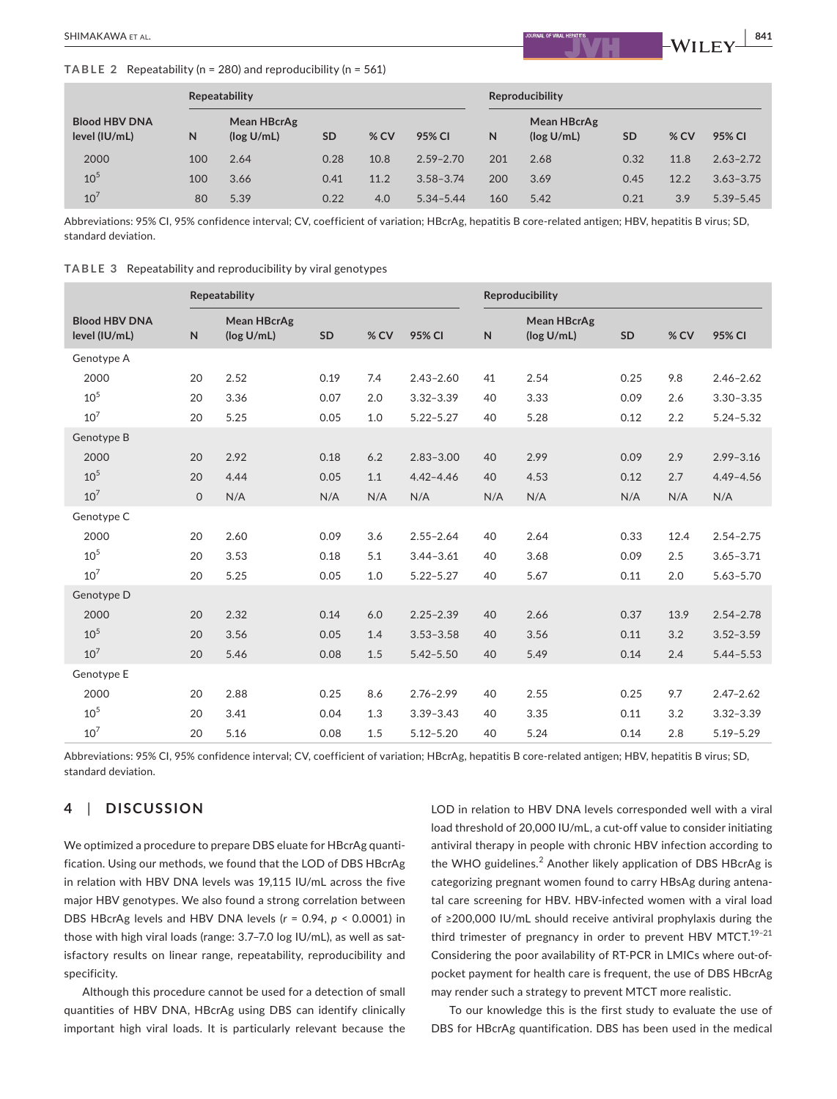#### **TABLE 2** Repeatability (n = 280) and reproducibility (n = 561)

|                                       | <b>Repeatability</b> |                           |           |        | Reproducibility |     |                           |           |        |               |
|---------------------------------------|----------------------|---------------------------|-----------|--------|-----------------|-----|---------------------------|-----------|--------|---------------|
| <b>Blood HBV DNA</b><br>level (IU/mL) | N                    | Mean HBcrAg<br>(log U/mL) | <b>SD</b> | $%$ CV | 95% CI          | N   | Mean HBcrAg<br>(log U/mL) | <b>SD</b> | $%$ CV | 95% CI        |
| 2000                                  | 100                  | 2.64                      | 0.28      | 10.8   | $2.59 - 2.70$   | 201 | 2.68                      | 0.32      | 11.8   | $2.63 - 2.72$ |
| 10 <sup>5</sup>                       | 100                  | 3.66                      | 0.41      | 11.2   | $3.58 - 3.74$   | 200 | 3.69                      | 0.45      | 12.2   | $3.63 - 3.75$ |
| 10'                                   | 80                   | 5.39                      | 0.22      | 4.0    | $5.34 - 5.44$   | 160 | 5.42                      | 0.21      | 3.9    | $5.39 - 5.45$ |

Abbreviations: 95% CI, 95% confidence interval; CV, coefficient of variation; HBcrAg, hepatitis B core-related antigen; HBV, hepatitis B virus; SD, standard deviation.

|  | TABLE 3 Repeatability and reproducibility by viral genotypes |  |  |  |
|--|--------------------------------------------------------------|--|--|--|
|--|--------------------------------------------------------------|--|--|--|

|                                       | Repeatability |                           |      |      | Reproducibility |     |                                  |           |      |               |
|---------------------------------------|---------------|---------------------------|------|------|-----------------|-----|----------------------------------|-----------|------|---------------|
| <b>Blood HBV DNA</b><br>level (IU/mL) | $\mathsf{N}$  | Mean HBcrAg<br>(log U/mL) | SD   | % CV | 95% CI          | N   | <b>Mean HBcrAg</b><br>(log U/mL) | <b>SD</b> | % CV | 95% CI        |
| Genotype A                            |               |                           |      |      |                 |     |                                  |           |      |               |
| 2000                                  | 20            | 2.52                      | 0.19 | 7.4  | $2.43 - 2.60$   | 41  | 2.54                             | 0.25      | 9.8  | $2.46 - 2.62$ |
| 10 <sup>5</sup>                       | 20            | 3.36                      | 0.07 | 2.0  | $3.32 - 3.39$   | 40  | 3.33                             | 0.09      | 2.6  | $3.30 - 3.35$ |
| 10 <sup>7</sup>                       | 20            | 5.25                      | 0.05 | 1.0  | $5.22 - 5.27$   | 40  | 5.28                             | 0.12      | 2.2  | $5.24 - 5.32$ |
| Genotype B                            |               |                           |      |      |                 |     |                                  |           |      |               |
| 2000                                  | 20            | 2.92                      | 0.18 | 6.2  | $2.83 - 3.00$   | 40  | 2.99                             | 0.09      | 2.9  | $2.99 - 3.16$ |
| $10^{5}$                              | 20            | 4.44                      | 0.05 | 1.1  | $4.42 - 4.46$   | 40  | 4.53                             | 0.12      | 2.7  | $4.49 - 4.56$ |
| 10 <sup>7</sup>                       | $\mathsf{O}$  | N/A                       | N/A  | N/A  | N/A             | N/A | N/A                              | N/A       | N/A  | N/A           |
| Genotype C                            |               |                           |      |      |                 |     |                                  |           |      |               |
| 2000                                  | 20            | 2.60                      | 0.09 | 3.6  | $2.55 - 2.64$   | 40  | 2.64                             | 0.33      | 12.4 | $2.54 - 2.75$ |
| 10 <sup>5</sup>                       | 20            | 3.53                      | 0.18 | 5.1  | $3.44 - 3.61$   | 40  | 3.68                             | 0.09      | 2.5  | $3.65 - 3.71$ |
| 10 <sup>7</sup>                       | 20            | 5.25                      | 0.05 | 1.0  | $5.22 - 5.27$   | 40  | 5.67                             | 0.11      | 2.0  | $5.63 - 5.70$ |
| Genotype D                            |               |                           |      |      |                 |     |                                  |           |      |               |
| 2000                                  | 20            | 2.32                      | 0.14 | 6.0  | $2.25 - 2.39$   | 40  | 2.66                             | 0.37      | 13.9 | $2.54 - 2.78$ |
| 10 <sup>5</sup>                       | 20            | 3.56                      | 0.05 | 1.4  | $3.53 - 3.58$   | 40  | 3.56                             | 0.11      | 3.2  | $3.52 - 3.59$ |
| 10 <sup>7</sup>                       | 20            | 5.46                      | 0.08 | 1.5  | $5.42 - 5.50$   | 40  | 5.49                             | 0.14      | 2.4  | $5.44 - 5.53$ |
| Genotype E                            |               |                           |      |      |                 |     |                                  |           |      |               |
| 2000                                  | 20            | 2.88                      | 0.25 | 8.6  | $2.76 - 2.99$   | 40  | 2.55                             | 0.25      | 9.7  | $2.47 - 2.62$ |
| 10 <sup>5</sup>                       | 20            | 3.41                      | 0.04 | 1.3  | $3.39 - 3.43$   | 40  | 3.35                             | 0.11      | 3.2  | $3.32 - 3.39$ |
| 10 <sup>7</sup>                       | 20            | 5.16                      | 0.08 | 1.5  | $5.12 - 5.20$   | 40  | 5.24                             | 0.14      | 2.8  | $5.19 - 5.29$ |

Abbreviations: 95% CI, 95% confidence interval; CV, coefficient of variation; HBcrAg, hepatitis B core-related antigen; HBV, hepatitis B virus; SD, standard deviation.

# **4**  | **DISCUSSION**

We optimized a procedure to prepare DBS eluate for HBcrAg quantification. Using our methods, we found that the LOD of DBS HBcrAg in relation with HBV DNA levels was 19,115 IU/mL across the five major HBV genotypes. We also found a strong correlation between DBS HBcrAg levels and HBV DNA levels (*r* = 0.94, *p* < 0.0001) in those with high viral loads (range: 3.7–7.0 log IU/mL), as well as satisfactory results on linear range, repeatability, reproducibility and specificity.

Although this procedure cannot be used for a detection of small quantities of HBV DNA, HBcrAg using DBS can identify clinically important high viral loads. It is particularly relevant because the

LOD in relation to HBV DNA levels corresponded well with a viral load threshold of 20,000 IU/mL, a cut-off value to consider initiating antiviral therapy in people with chronic HBV infection according to the WHO guidelines.<sup>2</sup> Another likely application of DBS HBcrAg is categorizing pregnant women found to carry HBsAg during antenatal care screening for HBV. HBV-infected women with a viral load of ≥200,000 IU/mL should receive antiviral prophylaxis during the third trimester of pregnancy in order to prevent HBV MTCT.<sup>19-21</sup> Considering the poor availability of RT-PCR in LMICs where out-ofpocket payment for health care is frequent, the use of DBS HBcrAg may render such a strategy to prevent MTCT more realistic.

To our knowledge this is the first study to evaluate the use of DBS for HBcrAg quantification. DBS has been used in the medical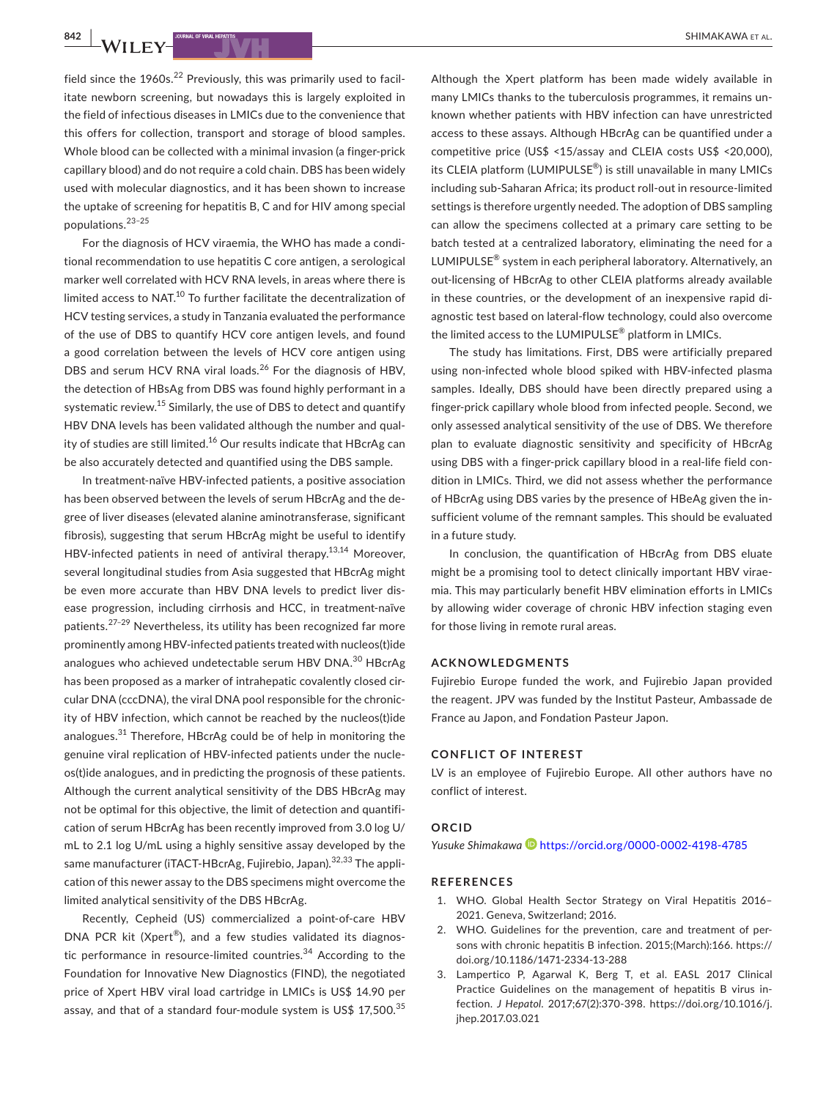field since the  $1960s<sup>22</sup>$  Previously, this was primarily used to facilitate newborn screening, but nowadays this is largely exploited in the field of infectious diseases in LMICs due to the convenience that this offers for collection, transport and storage of blood samples. Whole blood can be collected with a minimal invasion (a finger-prick capillary blood) and do not require a cold chain. DBS has been widely used with molecular diagnostics, and it has been shown to increase the uptake of screening for hepatitis B, C and for HIV among special populations.23–25

For the diagnosis of HCV viraemia, the WHO has made a conditional recommendation to use hepatitis C core antigen, a serological marker well correlated with HCV RNA levels, in areas where there is limited access to NAT.<sup>10</sup> To further facilitate the decentralization of HCV testing services, a study in Tanzania evaluated the performance of the use of DBS to quantify HCV core antigen levels, and found a good correlation between the levels of HCV core antigen using DBS and serum HCV RNA viral loads.<sup>26</sup> For the diagnosis of HBV, the detection of HBsAg from DBS was found highly performant in a systematic review.<sup>15</sup> Similarly, the use of DBS to detect and quantify HBV DNA levels has been validated although the number and quality of studies are still limited.<sup>16</sup> Our results indicate that HBcrAg can be also accurately detected and quantified using the DBS sample.

In treatment-naïve HBV-infected patients, a positive association has been observed between the levels of serum HBcrAg and the degree of liver diseases (elevated alanine aminotransferase, significant fibrosis), suggesting that serum HBcrAg might be useful to identify HBV-infected patients in need of antiviral therapy.<sup>13,14</sup> Moreover, several longitudinal studies from Asia suggested that HBcrAg might be even more accurate than HBV DNA levels to predict liver disease progression, including cirrhosis and HCC, in treatment-naïve patients.<sup>27-29</sup> Nevertheless, its utility has been recognized far more prominently among HBV-infected patients treated with nucleos(t)ide analogues who achieved undetectable serum HBV DNA.<sup>30</sup> HBcrAg has been proposed as a marker of intrahepatic covalently closed circular DNA (cccDNA), the viral DNA pool responsible for the chronicity of HBV infection, which cannot be reached by the nucleos(t)ide analogues. $31$  Therefore, HBcrAg could be of help in monitoring the genuine viral replication of HBV-infected patients under the nucleos(t)ide analogues, and in predicting the prognosis of these patients. Although the current analytical sensitivity of the DBS HBcrAg may not be optimal for this objective, the limit of detection and quantification of serum HBcrAg has been recently improved from 3.0 log U/ mL to 2.1 log U/mL using a highly sensitive assay developed by the same manufacturer (iTACT-HBcrAg, Fujirebio, Japan).<sup>32,33</sup> The application of this newer assay to the DBS specimens might overcome the limited analytical sensitivity of the DBS HBcrAg.

Recently, Cepheid (US) commercialized a point-of-care HBV DNA PCR kit (Xpert®), and a few studies validated its diagnostic performance in resource-limited countries.<sup>34</sup> According to the Foundation for Innovative New Diagnostics (FIND), the negotiated price of Xpert HBV viral load cartridge in LMICs is US\$ 14.90 per assay, and that of a standard four-module system is US\$  $17,500$ .<sup>35</sup>

Although the Xpert platform has been made widely available in many LMICs thanks to the tuberculosis programmes, it remains unknown whether patients with HBV infection can have unrestricted access to these assays. Although HBcrAg can be quantified under a competitive price (US\$ <15/assay and CLEIA costs US\$ <20,000), its CLEIA platform (LUMIPULSE®) is still unavailable in many LMICs including sub-Saharan Africa; its product roll-out in resource-limited settings is therefore urgently needed. The adoption of DBS sampling can allow the specimens collected at a primary care setting to be batch tested at a centralized laboratory, eliminating the need for a LUMIPULSE® system in each peripheral laboratory. Alternatively, an out-licensing of HBcrAg to other CLEIA platforms already available in these countries, or the development of an inexpensive rapid diagnostic test based on lateral-flow technology, could also overcome the limited access to the LUMIPULSE® platform in LMICs.

The study has limitations. First, DBS were artificially prepared using non-infected whole blood spiked with HBV-infected plasma samples. Ideally, DBS should have been directly prepared using a finger-prick capillary whole blood from infected people. Second, we only assessed analytical sensitivity of the use of DBS. We therefore plan to evaluate diagnostic sensitivity and specificity of HBcrAg using DBS with a finger-prick capillary blood in a real-life field condition in LMICs. Third, we did not assess whether the performance of HBcrAg using DBS varies by the presence of HBeAg given the insufficient volume of the remnant samples. This should be evaluated in a future study.

In conclusion, the quantification of HBcrAg from DBS eluate might be a promising tool to detect clinically important HBV viraemia. This may particularly benefit HBV elimination efforts in LMICs by allowing wider coverage of chronic HBV infection staging even for those living in remote rural areas.

#### **ACKNOWLEDGMENTS**

Fujirebio Europe funded the work, and Fujirebio Japan provided the reagent. JPV was funded by the Institut Pasteur, Ambassade de France au Japon, and Fondation Pasteur Japon.

### **CONFLICT OF INTEREST**

LV is an employee of Fujirebio Europe. All other authors have no conflict of interest.

#### **ORCID**

*Yusuke Shimakawa* <https://orcid.org/0000-0002-4198-4785>

#### **REFERENCES**

- 1. WHO. Global Health Sector Strategy on Viral Hepatitis 2016– 2021. Geneva, Switzerland; 2016.
- WHO. Guidelines for the prevention, care and treatment of persons with chronic hepatitis B infection. 2015;(March):166. [https://](https://doi.org/10.1186/1471-2334-13-288) [doi.org/10.1186/1471-2334-13-288](https://doi.org/10.1186/1471-2334-13-288)
- 3. Lampertico P, Agarwal K, Berg T, et al. EASL 2017 Clinical Practice Guidelines on the management of hepatitis B virus infection. *J Hepatol*. 2017;67(2):370-398. [https://doi.org/10.1016/j.](https://doi.org/10.1016/j.jhep.2017.03.021) [jhep.2017.03.021](https://doi.org/10.1016/j.jhep.2017.03.021)